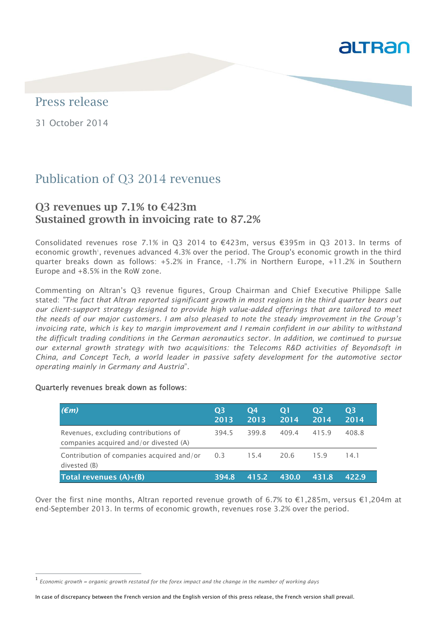

## Press release

31 October 2014

# Publication of Q3 2014 revenues

## **Q3 revenues up 7.1% to €423m Sustained growth in invoicing rate to 87.2%**

Consolidated revenues rose 7.1% in Q3 2014 to €423m, versus €395m in Q3 2013. In terms of economic growth', revenues advanced 4.3% over the period. The Group's economic growth in the third quarter breaks down as follows: +5.2% in France, -1.7% in Northern Europe, +11.2% in Southern Europe and +8.5% in the RoW zone.

Commenting on Altran's Q3 revenue figures, Group Chairman and Chief Executive Philippe Salle stated: *"The fact that Altran reported significant growth in most regions in the third quarter bears out our client-support strategy designed to provide high value-added offerings that are tailored to meet the needs of our major customers. I am also pleased to note the steady improvement in the Group's invoicing rate, which is key to margin improvement and I remain confident in our ability to withstand the difficult trading conditions in the German aeronautics sector. In addition, we continued to pursue our external growth strategy with two acquisitions: the Telecoms R&D activities of Beyondsoft in China, and Concept Tech, a world leader in passive safety development for the automotive sector operating mainly in Germany and Austria*"*.*

#### Quarterly revenues break down as follows:

j

| $(\epsilon m)$                                                                 | <b>O3</b><br>2013 | <b>O4</b><br>2013 | $\overline{O}$<br>2014 | <b>O2</b><br>2014 | <b>O3</b><br>2014 |
|--------------------------------------------------------------------------------|-------------------|-------------------|------------------------|-------------------|-------------------|
| Revenues, excluding contributions of<br>companies acquired and/or divested (A) | 394.5             | 399.8             | 409.4                  | 415.9             | 408.8             |
| Contribution of companies acquired and/or<br>divested (B)                      | 0.3               | 15.4              | 20.6                   | 15.9              | 14.1              |
| Total revenues (A)+(B)                                                         | 394.8             | 415.2             | 430.0                  | 431.8             | 422.9             |

Over the first nine months, Altran reported revenue growth of 6.7% to €1,285m, versus €1,204m at end-September 2013. In terms of economic growth, revenues rose 3.2% over the period.

<sup>1</sup> *Economic growth = organic growth restated for the forex impact and the change in the number of working days*

In case of discrepancy between the French version and the English version of this press release, the French version shall prevail.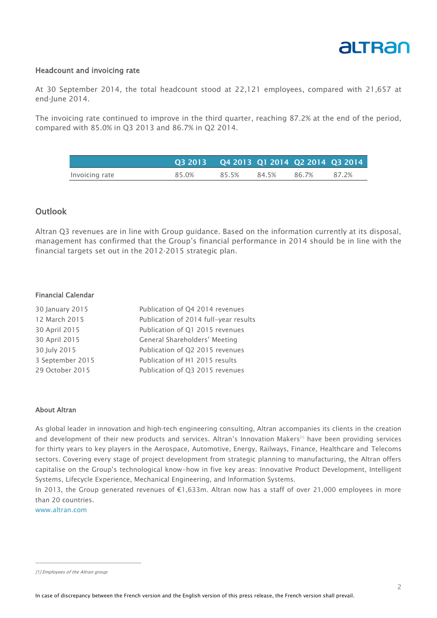

#### Headcount and invoicing rate

At 30 September 2014, the total headcount stood at 22,121 employees, compared with 21,657 at end-June 2014.

The invoicing rate continued to improve in the third quarter, reaching 87.2% at the end of the period, compared with 85.0% in Q3 2013 and 86.7% in Q2 2014.

|                | Q3 2013 Q4 2013 Q1 2014 Q2 2014 Q3 2014 |       |       |       |       |
|----------------|-----------------------------------------|-------|-------|-------|-------|
| Invoicing rate | 85.0%                                   | 85.5% | 84.5% | 86.7% | 87.2% |

## **Outlook**

Altran Q3 revenues are in line with Group guidance. Based on the information currently at its disposal, management has confirmed that the Group's financial performance in 2014 should be in line with the financial targets set out in the 2012-2015 strategic plan.

#### Financial Calendar

| 30 January 2015  | Publication of Q4 2014 revenues       |
|------------------|---------------------------------------|
| 12 March 2015    | Publication of 2014 full-year results |
| 30 April 2015    | Publication of Q1 2015 revenues       |
| 30 April 2015    | General Shareholders' Meeting         |
| 30 July 2015     | Publication of Q2 2015 revenues       |
| 3 September 2015 | Publication of H1 2015 results        |
| 29 October 2015  | Publication of Q3 2015 revenues       |
|                  |                                       |

#### About Altran

As global leader in innovation and high‐tech engineering consulting, Altran accompanies its clients in the creation and development of their new products and services. Altran's Innovation Makers<sup>[1]</sup> have been providing services for thirty years to key players in the Aerospace, Automotive, Energy, Railways, Finance, Healthcare and Telecoms sectors. Covering every stage of project development from strategic planning to manufacturing, the Altran offers capitalise on the Group's technological know-how in five key areas: Innovative Product Development, Intelligent Systems, Lifecycle Experience, Mechanical Engineering, and Information Systems.

In 2013, the Group generated revenues of €1,633m. Altran now has a staff of over 21,000 employees in more than 20 countries.

www.altran.com

j

<sup>[1]</sup> Employees of the Altran group